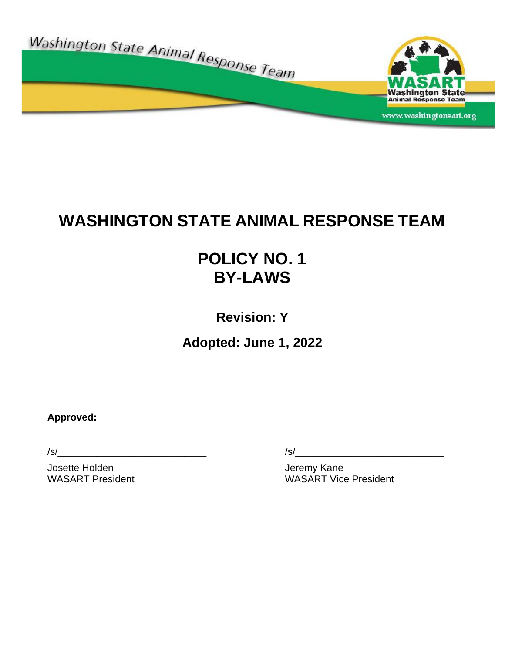

# **WASHINGTON STATE ANIMAL RESPONSE TEAM**

# **POLICY NO. 1 BY-LAWS**

**Revision: Y**

**Adopted: June 1, 2022**

**Approved:**

Josette Holden and The Termin School and Termina Jeremy Kane

 $/s/$ 

WASART President WASART Vice President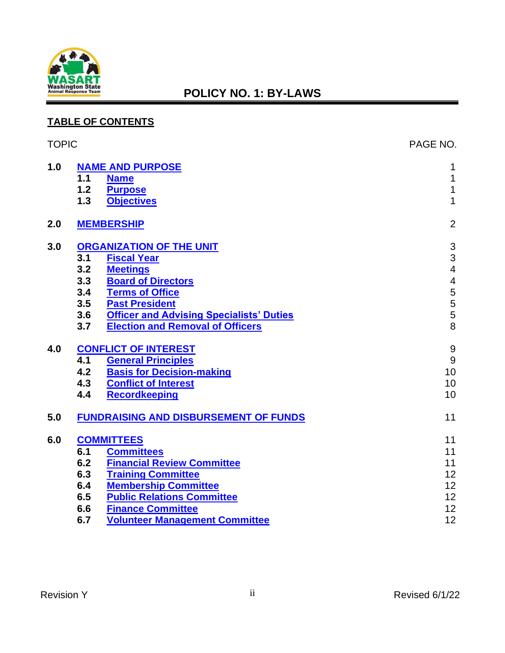

#### **TABLE OF CONTENTS**

| <b>TOPIC</b> |                         |                                                 | PAGE NO.                 |
|--------------|-------------------------|-------------------------------------------------|--------------------------|
| 1.0          | <b>NAME AND PURPOSE</b> | 1                                               |                          |
|              | 1.1                     | <b>Name</b>                                     | 1                        |
|              | $1.2$                   | <b>Purpose</b>                                  | $\mathbf 1$              |
|              | 1.3                     | <b>Objectives</b>                               | $\mathbf{1}$             |
| 2.0          |                         | <b>MEMBERSHIP</b>                               | $\overline{2}$           |
| 3.0          |                         | <b>ORGANIZATION OF THE UNIT</b>                 | $\sqrt{3}$               |
|              | 3.1                     | <b>Fiscal Year</b>                              | $\frac{3}{4}$            |
|              | 3.2                     | <b>Meetings</b>                                 |                          |
|              | 3.3                     | <b>Board of Directors</b>                       | $\overline{\mathcal{A}}$ |
|              | 3.4                     | <b>Terms of Office</b>                          |                          |
|              | 3.5                     | <b>Past President</b>                           |                          |
|              | 3.6                     | <b>Officer and Advising Specialists' Duties</b> | 5<br>5<br>5<br>5<br>8    |
|              | 3.7                     | <b>Election and Removal of Officers</b>         |                          |
| 4.0          |                         | <b>CONFLICT OF INTEREST</b>                     | $\boldsymbol{9}$         |
|              | 4.1                     | <b>General Principles</b>                       | 9                        |
|              | 4.2                     | <b>Basis for Decision-making</b>                | 10                       |
|              | 4.3                     | <b>Conflict of Interest</b>                     | 10                       |
|              | 4.4                     | <b>Recordkeeping</b>                            | 10                       |
| 5.0          |                         | <b>FUNDRAISING AND DISBURSEMENT OF FUNDS</b>    | 11                       |
| 6.0          |                         | <b>COMMITTEES</b>                               | 11                       |
|              | 6.1                     | <b>Committees</b>                               | 11                       |
|              | 6.2                     | <b>Financial Review Committee</b>               | 11                       |
|              | 6.3                     | <b>Training Committee</b>                       | 12                       |
|              | 6.4                     | <b>Membership Committee</b>                     | 12                       |
|              | 6.5                     | <b>Public Relations Committee</b>               | 12                       |
|              | 6.6                     | <b>Finance Committee</b>                        | 12                       |
|              | 6.7                     | <b>Volunteer Management Committee</b>           | 12                       |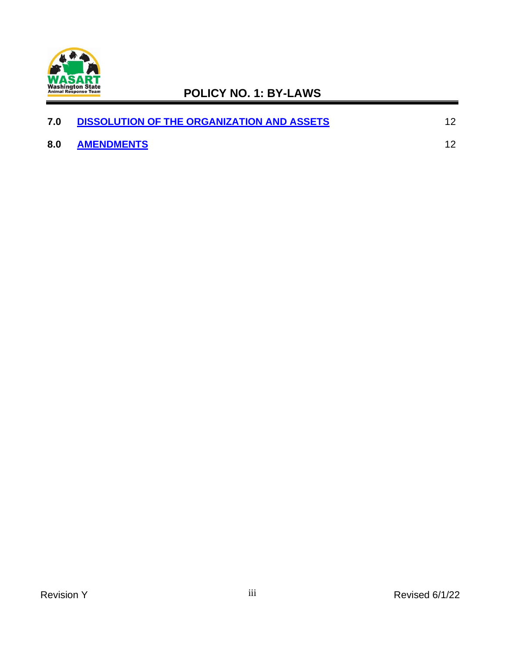

| 7.0 | <b>DISSOLUTION OF THE ORGANIZATION AND ASSETS</b> |  |
|-----|---------------------------------------------------|--|
| 8.0 | <b>AMENDMENTS</b>                                 |  |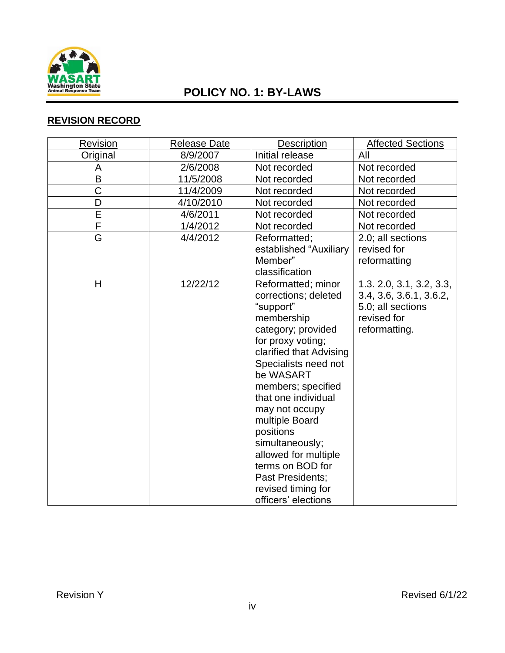

### **REVISION RECORD**

| <b>Revision</b>         | <b>Release Date</b> | Description                                                                                                                                                                                                                                                                                                                                                                                                    | <b>Affected Sections</b>                                                                                 |
|-------------------------|---------------------|----------------------------------------------------------------------------------------------------------------------------------------------------------------------------------------------------------------------------------------------------------------------------------------------------------------------------------------------------------------------------------------------------------------|----------------------------------------------------------------------------------------------------------|
| Original                | 8/9/2007            | Initial release                                                                                                                                                                                                                                                                                                                                                                                                | All                                                                                                      |
| A                       | 2/6/2008            | Not recorded                                                                                                                                                                                                                                                                                                                                                                                                   | Not recorded                                                                                             |
| B                       | 11/5/2008           | Not recorded                                                                                                                                                                                                                                                                                                                                                                                                   | Not recorded                                                                                             |
| C                       | 11/4/2009           | Not recorded                                                                                                                                                                                                                                                                                                                                                                                                   | Not recorded                                                                                             |
| D                       | 4/10/2010           | Not recorded                                                                                                                                                                                                                                                                                                                                                                                                   | Not recorded                                                                                             |
| Ē                       | 4/6/2011            | Not recorded                                                                                                                                                                                                                                                                                                                                                                                                   | Not recorded                                                                                             |
| $\overline{\mathsf{F}}$ | 1/4/2012            | Not recorded                                                                                                                                                                                                                                                                                                                                                                                                   | Not recorded                                                                                             |
| $\overline{\mathsf{G}}$ | 4/4/2012            | Reformatted;<br>established "Auxiliary<br>Member"<br>classification                                                                                                                                                                                                                                                                                                                                            | 2.0; all sections<br>revised for<br>reformatting                                                         |
| H                       | 12/22/12            | Reformatted; minor<br>corrections; deleted<br>"support"<br>membership<br>category; provided<br>for proxy voting;<br>clarified that Advising<br>Specialists need not<br>be WASART<br>members; specified<br>that one individual<br>may not occupy<br>multiple Board<br>positions<br>simultaneously;<br>allowed for multiple<br>terms on BOD for<br>Past Presidents;<br>revised timing for<br>officers' elections | 1.3. 2.0, 3.1, 3.2, 3.3,<br>3.4, 3.6, 3.6.1, 3.6.2,<br>5.0; all sections<br>revised for<br>reformatting. |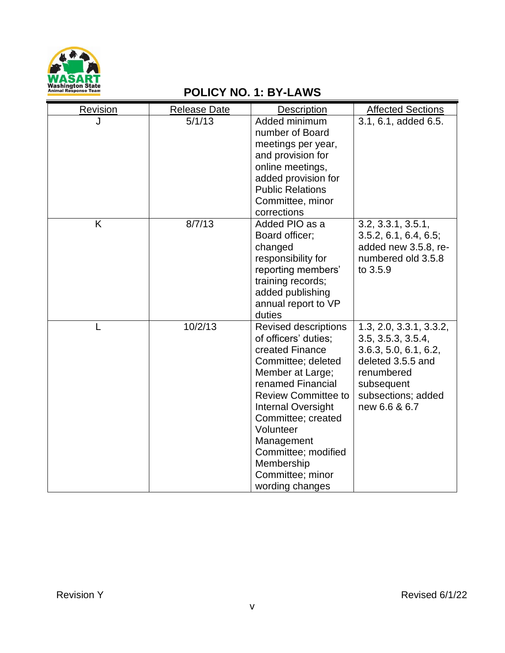

| Revision | <b>Release Date</b> | <b>Description</b>                                                                                                                                                                                                                                                                                                            | <b>Affected Sections</b>                                                                                                                                       |
|----------|---------------------|-------------------------------------------------------------------------------------------------------------------------------------------------------------------------------------------------------------------------------------------------------------------------------------------------------------------------------|----------------------------------------------------------------------------------------------------------------------------------------------------------------|
| J        | 5/1/13              | Added minimum<br>number of Board<br>meetings per year,<br>and provision for<br>online meetings,<br>added provision for<br><b>Public Relations</b><br>Committee, minor<br>corrections                                                                                                                                          | 3.1, 6.1, added 6.5.                                                                                                                                           |
| K        | 8/7/13              | Added PIO as a<br>Board officer;<br>changed<br>responsibility for<br>reporting members'<br>training records;<br>added publishing<br>annual report to VP<br>duties                                                                                                                                                             | 3.2, 3.3.1, 3.5.1,<br>3.5.2, 6.1, 6.4, 6.5;<br>added new 3.5.8, re-<br>numbered old 3.5.8<br>to 3.5.9                                                          |
|          | 10/2/13             | <b>Revised descriptions</b><br>of officers' duties:<br>created Finance<br>Committee; deleted<br>Member at Large;<br>renamed Financial<br><b>Review Committee to</b><br><b>Internal Oversight</b><br>Committee; created<br>Volunteer<br>Management<br>Committee; modified<br>Membership<br>Committee; minor<br>wording changes | 1.3, 2.0, 3.3.1, 3.3.2,<br>3.5, 3.5.3, 3.5.4,<br>3.6.3, 5.0, 6.1, 6.2,<br>deleted 3.5.5 and<br>renumbered<br>subsequent<br>subsections; added<br>new 6.6 & 6.7 |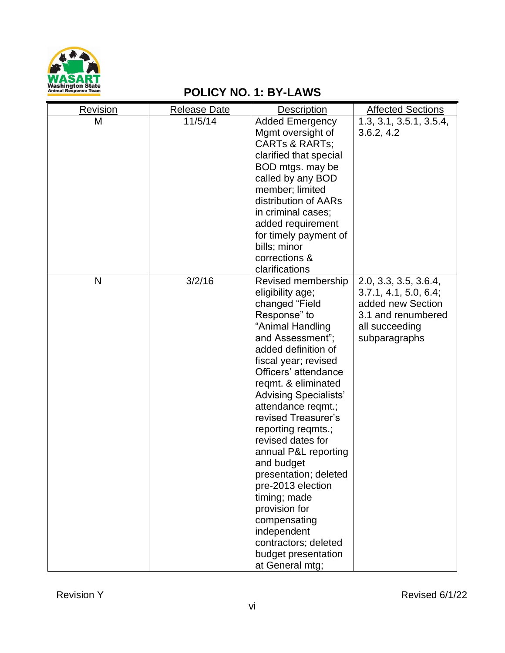

| Revision | <b>Release Date</b> | <b>Description</b>           | <b>Affected Sections</b> |
|----------|---------------------|------------------------------|--------------------------|
| M        | 11/5/14             | <b>Added Emergency</b>       | 1.3, 3.1, 3.5.1, 3.5.4,  |
|          |                     | Mgmt oversight of            | 3.6.2, 4.2               |
|          |                     | <b>CARTs &amp; RARTs;</b>    |                          |
|          |                     | clarified that special       |                          |
|          |                     | BOD mtgs. may be             |                          |
|          |                     | called by any BOD            |                          |
|          |                     | member; limited              |                          |
|          |                     | distribution of AARs         |                          |
|          |                     | in criminal cases;           |                          |
|          |                     | added requirement            |                          |
|          |                     | for timely payment of        |                          |
|          |                     | bills; minor                 |                          |
|          |                     | corrections &                |                          |
|          |                     | clarifications               |                          |
| N        | 3/2/16              | Revised membership           | 2.0, 3.3, 3.5, 3.6.4,    |
|          |                     | eligibility age;             | 3.7.1, 4.1, 5.0, 6.4;    |
|          |                     | changed "Field               | added new Section        |
|          |                     | Response" to                 | 3.1 and renumbered       |
|          |                     | "Animal Handling             | all succeeding           |
|          |                     | and Assessment";             | subparagraphs            |
|          |                     | added definition of          |                          |
|          |                     | fiscal year; revised         |                          |
|          |                     | Officers' attendance         |                          |
|          |                     | reqmt. & eliminated          |                          |
|          |                     | <b>Advising Specialists'</b> |                          |
|          |                     | attendance reqmt.;           |                          |
|          |                     | revised Treasurer's          |                          |
|          |                     | reporting regmts.;           |                          |
|          |                     | revised dates for            |                          |
|          |                     | annual P&L reporting         |                          |
|          |                     | and budget                   |                          |
|          |                     | presentation; deleted        |                          |
|          |                     | pre-2013 election            |                          |
|          |                     | timing; made                 |                          |
|          |                     | provision for                |                          |
|          |                     | compensating                 |                          |
|          |                     | independent                  |                          |
|          |                     | contractors; deleted         |                          |
|          |                     | budget presentation          |                          |
|          |                     | at General mtg;              |                          |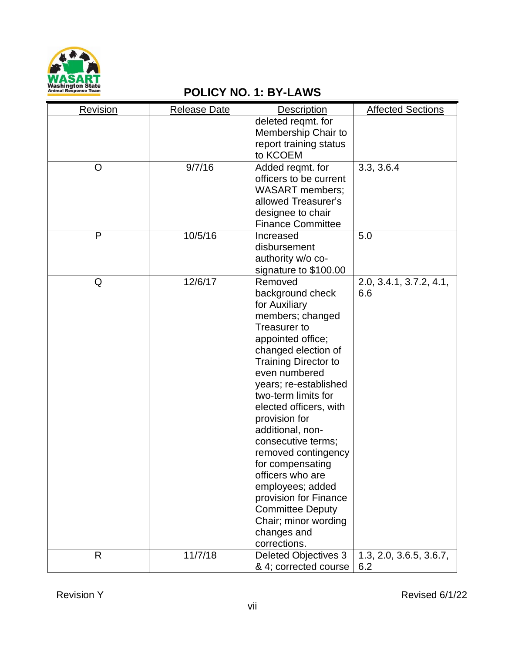

| Revision | <b>Release Date</b> | <b>Description</b>                                                                                                                                                                                                                                                                                                                                                                                                                                                                                              | <b>Affected Sections</b>       |
|----------|---------------------|-----------------------------------------------------------------------------------------------------------------------------------------------------------------------------------------------------------------------------------------------------------------------------------------------------------------------------------------------------------------------------------------------------------------------------------------------------------------------------------------------------------------|--------------------------------|
|          |                     | deleted regmt. for<br>Membership Chair to<br>report training status<br>to KCOEM                                                                                                                                                                                                                                                                                                                                                                                                                                 |                                |
| O        | 9/7/16              | Added regmt. for<br>officers to be current<br><b>WASART</b> members;<br>allowed Treasurer's<br>designee to chair<br><b>Finance Committee</b>                                                                                                                                                                                                                                                                                                                                                                    | 3.3, 3.6.4                     |
| P        | 10/5/16             | Increased<br>disbursement<br>authority w/o co-<br>signature to \$100.00                                                                                                                                                                                                                                                                                                                                                                                                                                         | 5.0                            |
| Q        | 12/6/17             | Removed<br>background check<br>for Auxiliary<br>members; changed<br>Treasurer to<br>appointed office;<br>changed election of<br><b>Training Director to</b><br>even numbered<br>years; re-established<br>two-term limits for<br>elected officers, with<br>provision for<br>additional, non-<br>consecutive terms;<br>removed contingency<br>for compensating<br>officers who are<br>employees; added<br>provision for Finance<br><b>Committee Deputy</b><br>Chair; minor wording<br>changes and<br>corrections. | 2.0, 3.4.1, 3.7.2, 4.1,<br>6.6 |
| R        | 11/7/18             | <b>Deleted Objectives 3</b><br>& 4; corrected course                                                                                                                                                                                                                                                                                                                                                                                                                                                            | 1.3, 2.0, 3.6.5, 3.6.7,<br>6.2 |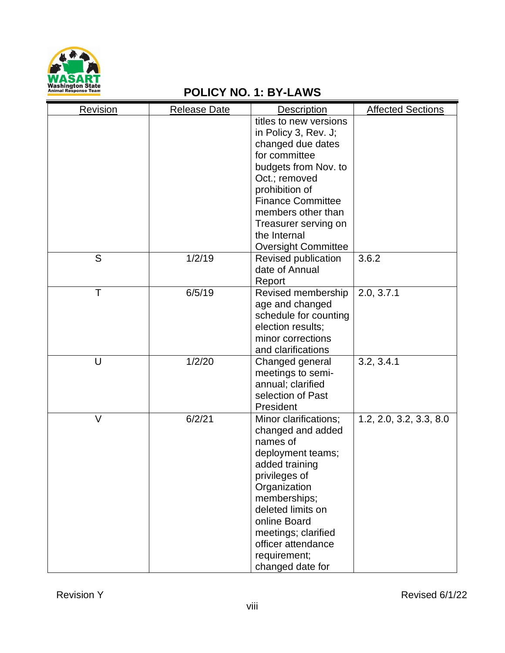

| Revision | <b>Release Date</b> | <b>Description</b>                                                                                                                                                                                                                                                      | <b>Affected Sections</b> |
|----------|---------------------|-------------------------------------------------------------------------------------------------------------------------------------------------------------------------------------------------------------------------------------------------------------------------|--------------------------|
|          |                     | titles to new versions<br>in Policy 3, Rev. J;<br>changed due dates<br>for committee<br>budgets from Nov. to<br>Oct.; removed<br>prohibition of<br><b>Finance Committee</b><br>members other than<br>Treasurer serving on<br>the Internal<br><b>Oversight Committee</b> |                          |
| S        | 1/2/19              | Revised publication<br>date of Annual<br>Report                                                                                                                                                                                                                         | 3.6.2                    |
| Τ        | 6/5/19              | Revised membership<br>age and changed<br>schedule for counting<br>election results;<br>minor corrections<br>and clarifications                                                                                                                                          | 2.0, 3.7.1               |
| U        | 1/2/20              | Changed general<br>meetings to semi-<br>annual; clarified<br>selection of Past<br>President                                                                                                                                                                             | 3.2, 3.4.1               |
| $\vee$   | 6/2/21              | Minor clarifications;<br>changed and added<br>names of<br>deployment teams;<br>added training<br>privileges of<br>Organization<br>memberships;<br>deleted limits on<br>online Board<br>meetings; clarified<br>officer attendance<br>requirement;<br>changed date for    | 1.2, 2.0, 3.2, 3.3, 8.0  |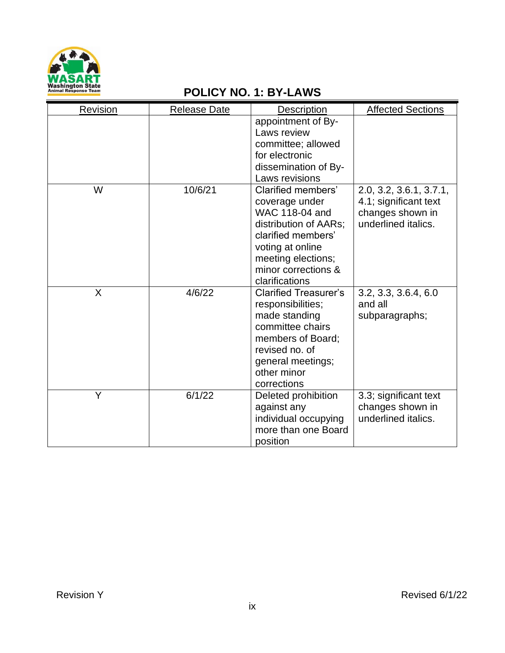

| Revision | <b>Release Date</b> | <b>Description</b>                          | <b>Affected Sections</b>                |
|----------|---------------------|---------------------------------------------|-----------------------------------------|
|          |                     | appointment of By-                          |                                         |
|          |                     | Laws review                                 |                                         |
|          |                     | committee; allowed                          |                                         |
|          |                     | for electronic                              |                                         |
|          |                     | dissemination of By-                        |                                         |
|          |                     | Laws revisions                              |                                         |
| W        | 10/6/21             | Clarified members'                          | 2.0, 3.2, 3.6.1, 3.7.1,                 |
|          |                     | coverage under                              | 4.1; significant text                   |
|          |                     | WAC 118-04 and                              | changes shown in<br>underlined italics. |
|          |                     | distribution of AARs;<br>clarified members' |                                         |
|          |                     | voting at online                            |                                         |
|          |                     | meeting elections;                          |                                         |
|          |                     | minor corrections &                         |                                         |
|          |                     | clarifications                              |                                         |
| X        | 4/6/22              | <b>Clarified Treasurer's</b>                | 3.2, 3.3, 3.6.4, 6.0                    |
|          |                     | responsibilities;                           | and all                                 |
|          |                     | made standing                               | subparagraphs;                          |
|          |                     | committee chairs                            |                                         |
|          |                     | members of Board;                           |                                         |
|          |                     | revised no. of                              |                                         |
|          |                     | general meetings;                           |                                         |
|          |                     | other minor                                 |                                         |
|          |                     | corrections                                 |                                         |
| Y        | 6/1/22              | Deleted prohibition                         | 3.3; significant text                   |
|          |                     | against any                                 | changes shown in                        |
|          |                     | individual occupying                        | underlined italics.                     |
|          |                     | more than one Board                         |                                         |
|          |                     | position                                    |                                         |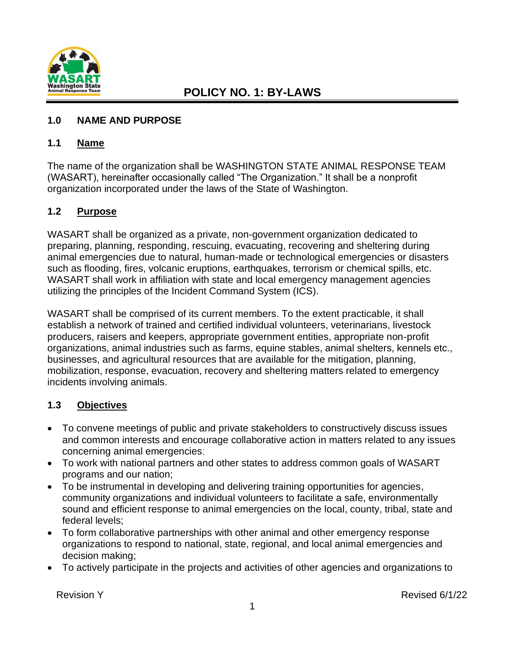

#### <span id="page-9-0"></span>**1.0 NAME AND PURPOSE**

#### <span id="page-9-1"></span>**1.1 Name**

The name of the organization shall be WASHINGTON STATE ANIMAL RESPONSE TEAM (WASART), hereinafter occasionally called "The Organization." It shall be a nonprofit organization incorporated under the laws of the State of Washington.

#### <span id="page-9-2"></span>**1.2 Purpose**

WASART shall be organized as a private, non-government organization dedicated to preparing, planning, responding, rescuing, evacuating, recovering and sheltering during animal emergencies due to natural, human-made or technological emergencies or disasters such as flooding, fires, volcanic eruptions, earthquakes, terrorism or chemical spills, etc. WASART shall work in affiliation with state and local emergency management agencies utilizing the principles of the Incident Command System (ICS).

WASART shall be comprised of its current members. To the extent practicable, it shall establish a network of trained and certified individual volunteers, veterinarians, livestock producers, raisers and keepers, appropriate government entities, appropriate non-profit organizations, animal industries such as farms, equine stables, animal shelters, kennels etc., businesses, and agricultural resources that are available for the mitigation, planning, mobilization, response, evacuation, recovery and sheltering matters related to emergency incidents involving animals.

#### <span id="page-9-3"></span>**1.3 Objectives**

- To convene meetings of public and private stakeholders to constructively discuss issues and common interests and encourage collaborative action in matters related to any issues concerning animal emergencies;
- To work with national partners and other states to address common goals of WASART programs and our nation;
- To be instrumental in developing and delivering training opportunities for agencies, community organizations and individual volunteers to facilitate a safe, environmentally sound and efficient response to animal emergencies on the local, county, tribal, state and federal levels;
- To form collaborative partnerships with other animal and other emergency response organizations to respond to national, state, regional, and local animal emergencies and decision making;
- To actively participate in the projects and activities of other agencies and organizations to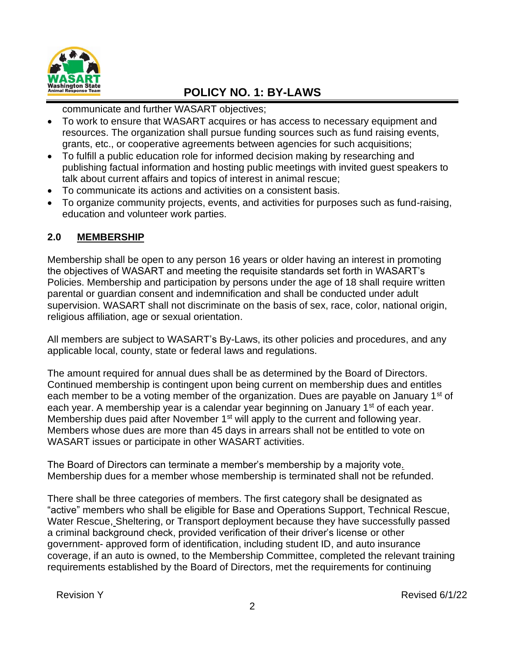

communicate and further WASART objectives;

- To work to ensure that WASART acquires or has access to necessary equipment and resources. The organization shall pursue funding sources such as fund raising events, grants, etc., or cooperative agreements between agencies for such acquisitions;
- To fulfill a public education role for informed decision making by researching and publishing factual information and hosting public meetings with invited guest speakers to talk about current affairs and topics of interest in animal rescue;
- To communicate its actions and activities on a consistent basis.
- To organize community projects, events, and activities for purposes such as fund-raising, education and volunteer work parties.

#### <span id="page-10-0"></span>**2.0 MEMBERSHIP**

Membership shall be open to any person 16 years or older having an interest in promoting the objectives of WASART and meeting the requisite standards set forth in WASART's Policies. Membership and participation by persons under the age of 18 shall require written parental or guardian consent and indemnification and shall be conducted under adult supervision. WASART shall not discriminate on the basis of sex, race, color, national origin, religious affiliation, age or sexual orientation.

All members are subject to WASART's By-Laws, its other policies and procedures, and any applicable local, county, state or federal laws and regulations.

The amount required for annual dues shall be as determined by the Board of Directors. Continued membership is contingent upon being current on membership dues and entitles each member to be a voting member of the organization. Dues are payable on January 1<sup>st</sup> of each year. A membership year is a calendar year beginning on January 1<sup>st</sup> of each year. Membership dues paid after November 1<sup>st</sup> will apply to the current and following year. Members whose dues are more than 45 days in arrears shall not be entitled to vote on WASART issues or participate in other WASART activities.

The Board of Directors can terminate a member's membership by a majority vote*.* Membership dues for a member whose membership is terminated shall not be refunded.

There shall be three categories of members. The first category shall be designated as "active" members who shall be eligible for Base and Operations Support, Technical Rescue, Water Rescue, Sheltering, or Transport deployment because they have successfully passed a criminal background check, provided verification of their driver's license or other government- approved form of identification, including student ID, and auto insurance coverage, if an auto is owned, to the Membership Committee, completed the relevant training requirements established by the Board of Directors, met the requirements for continuing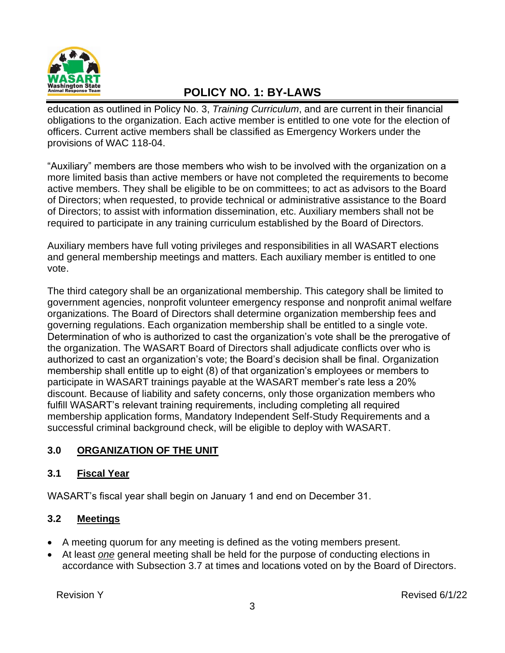

education as outlined in Policy No. 3, *Training Curriculum*, and are current in their financial obligations to the organization. Each active member is entitled to one vote for the election of officers. Current active members shall be classified as Emergency Workers under the provisions of WAC 118-04.

"Auxiliary" members are those members who wish to be involved with the organization on a more limited basis than active members or have not completed the requirements to become active members. They shall be eligible to be on committees; to act as advisors to the Board of Directors; when requested, to provide technical or administrative assistance to the Board of Directors; to assist with information dissemination, etc. Auxiliary members shall not be required to participate in any training curriculum established by the Board of Directors.

Auxiliary members have full voting privileges and responsibilities in all WASART elections and general membership meetings and matters. Each auxiliary member is entitled to one vote.

The third category shall be an organizational membership. This category shall be limited to government agencies, nonprofit volunteer emergency response and nonprofit animal welfare organizations. The Board of Directors shall determine organization membership fees and governing regulations. Each organization membership shall be entitled to a single vote. Determination of who is authorized to cast the organization's vote shall be the prerogative of the organization. The WASART Board of Directors shall adjudicate conflicts over who is authorized to cast an organization's vote; the Board's decision shall be final. Organization membership shall entitle up to eight (8) of that organization's employees or members to participate in WASART trainings payable at the WASART member's rate less a 20% discount. Because of liability and safety concerns, only those organization members who fulfill WASART's relevant training requirements, including completing all required membership application forms, Mandatory Independent Self-Study Requirements and a successful criminal background check, will be eligible to deploy with WASART.

#### <span id="page-11-0"></span>**3.0 ORGANIZATION OF THE UNIT**

#### <span id="page-11-1"></span>**3.1 Fiscal Year**

WASART's fiscal year shall begin on January 1 and end on December 31.

#### <span id="page-11-2"></span>**3.2 Meetings**

- A meeting quorum for any meeting is defined as the voting members present.
- At least *one* general meeting shall be held for the purpose of conducting elections in accordance with Subsection 3.7 at times and locations voted on by the Board of Directors.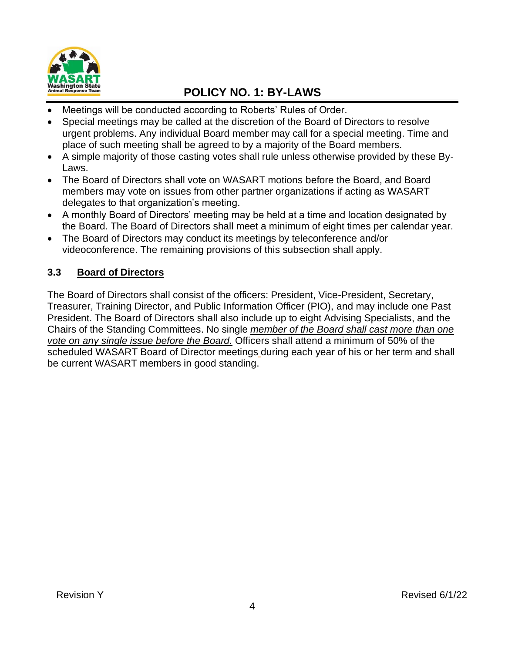

- Meetings will be conducted according to Roberts' Rules of Order.
- Special meetings may be called at the discretion of the Board of Directors to resolve urgent problems. Any individual Board member may call for a special meeting. Time and place of such meeting shall be agreed to by a majority of the Board members.
- A simple majority of those casting votes shall rule unless otherwise provided by these By-Laws.
- The Board of Directors shall vote on WASART motions before the Board, and Board members may vote on issues from other partner organizations if acting as WASART delegates to that organization's meeting.
- A monthly Board of Directors' meeting may be held at a time and location designated by the Board. The Board of Directors shall meet a minimum of eight times per calendar year.
- The Board of Directors may conduct its meetings by teleconference and/or videoconference. The remaining provisions of this subsection shall apply.

#### <span id="page-12-0"></span>**3.3 Board of Directors**

The Board of Directors shall consist of the officers: President, Vice-President, Secretary, Treasurer, Training Director, and Public Information Officer (PIO), and may include one Past President. The Board of Directors shall also include up to eight Advising Specialists, and the Chairs of the Standing Committees. No single *member of the Board shall cast more than one vote on any single issue before the Board.* Officers shall attend a minimum of 50% of the scheduled WASART Board of Director meetings during each year of his or her term and shall be current WASART members in good standing.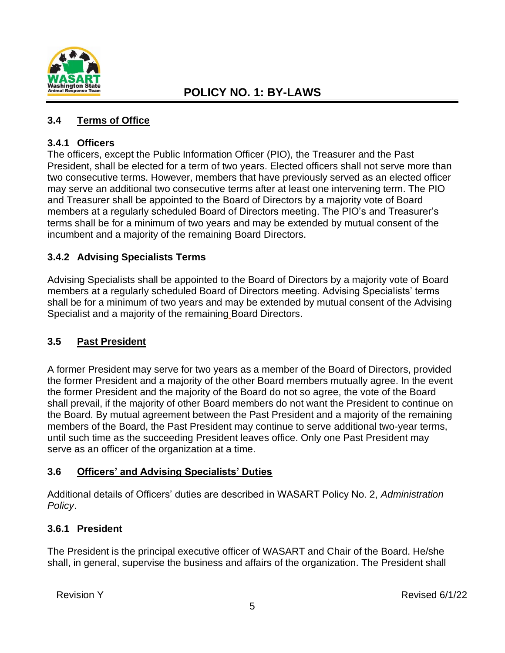

#### <span id="page-13-0"></span>**3.4 Terms of Office**

#### **3.4.1 Officers**

The officers, except the Public Information Officer (PIO), the Treasurer and the Past President, shall be elected for a term of two years. Elected officers shall not serve more than two consecutive terms. However, members that have previously served as an elected officer may serve an additional two consecutive terms after at least one intervening term. The PIO and Treasurer shall be appointed to the Board of Directors by a majority vote of Board members at a regularly scheduled Board of Directors meeting. The PIO's and Treasurer's terms shall be for a minimum of two years and may be extended by mutual consent of the incumbent and a majority of the remaining Board Directors.

#### **3.4.2 Advising Specialists Terms**

Advising Specialists shall be appointed to the Board of Directors by a majority vote of Board members at a regularly scheduled Board of Directors meeting. Advising Specialists' terms shall be for a minimum of two years and may be extended by mutual consent of the Advising Specialist and a majority of the remaining Board Directors.

#### <span id="page-13-1"></span>**3.5 Past President**

A former President may serve for two years as a member of the Board of Directors, provided the former President and a majority of the other Board members mutually agree. In the event the former President and the majority of the Board do not so agree, the vote of the Board shall prevail, if the majority of other Board members do not want the President to continue on the Board. By mutual agreement between the Past President and a majority of the remaining members of the Board, the Past President may continue to serve additional two-year terms, until such time as the succeeding President leaves office. Only one Past President may serve as an officer of the organization at a time.

#### <span id="page-13-2"></span>**3.6 Officers' and Advising Specialists' Duties**

Additional details of Officers' duties are described in WASART Policy No. 2, *Administration Policy*.

#### **3.6.1 President**

The President is the principal executive officer of WASART and Chair of the Board. He/she shall, in general, supervise the business and affairs of the organization. The President shall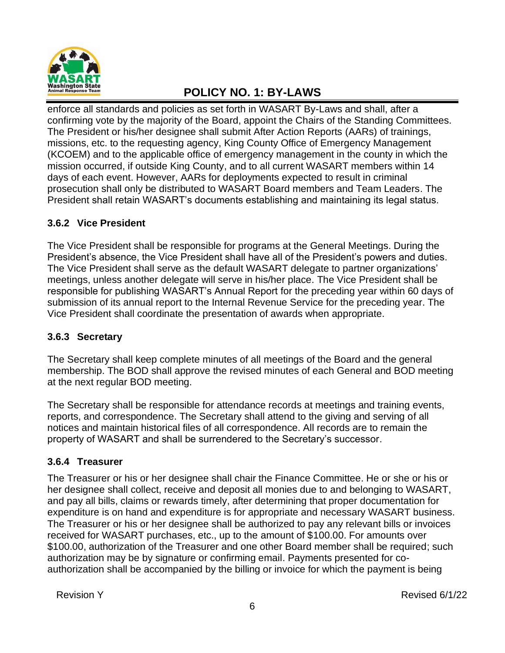

enforce all standards and policies as set forth in WASART By-Laws and shall, after a confirming vote by the majority of the Board, appoint the Chairs of the Standing Committees. The President or his/her designee shall submit After Action Reports (AARs) of trainings, missions, etc. to the requesting agency, King County Office of Emergency Management (KCOEM) and to the applicable office of emergency management in the county in which the mission occurred, if outside King County, and to all current WASART members within 14 days of each event. However, AARs for deployments expected to result in criminal prosecution shall only be distributed to WASART Board members and Team Leaders. The President shall retain WASART's documents establishing and maintaining its legal status.

#### **3.6.2 Vice President**

The Vice President shall be responsible for programs at the General Meetings. During the President's absence, the Vice President shall have all of the President's powers and duties. The Vice President shall serve as the default WASART delegate to partner organizations' meetings, unless another delegate will serve in his/her place. The Vice President shall be responsible for publishing WASART's Annual Report for the preceding year within 60 days of submission of its annual report to the Internal Revenue Service for the preceding year. The Vice President shall coordinate the presentation of awards when appropriate.

#### **3.6.3 Secretary**

The Secretary shall keep complete minutes of all meetings of the Board and the general membership. The BOD shall approve the revised minutes of each General and BOD meeting at the next regular BOD meeting.

The Secretary shall be responsible for attendance records at meetings and training events, reports, and correspondence. The Secretary shall attend to the giving and serving of all notices and maintain historical files of all correspondence. All records are to remain the property of WASART and shall be surrendered to the Secretary's successor.

#### **3.6.4 Treasurer**

The Treasurer or his or her designee shall chair the Finance Committee. He or she or his or her designee shall collect, receive and deposit all monies due to and belonging to WASART, and pay all bills, claims or rewards timely, after determining that proper documentation for expenditure is on hand and expenditure is for appropriate and necessary WASART business. The Treasurer or his or her designee shall be authorized to pay any relevant bills or invoices received for WASART purchases, etc., up to the amount of \$100.00. For amounts over \$100.00, authorization of the Treasurer and one other Board member shall be required; such authorization may be by signature or confirming email. Payments presented for coauthorization shall be accompanied by the billing or invoice for which the payment is being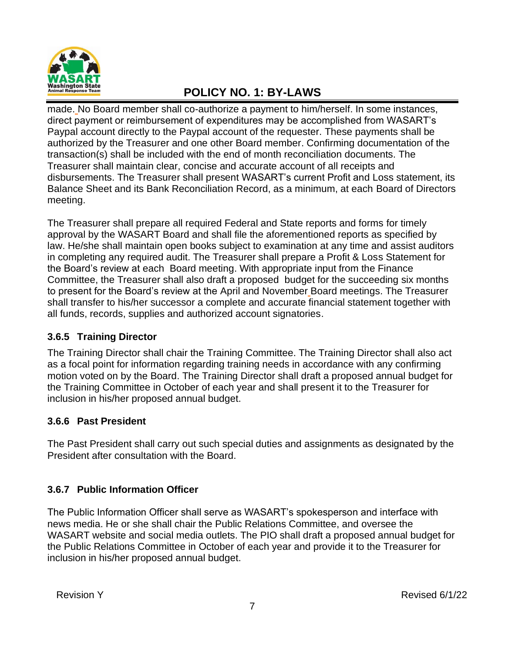

made. No Board member shall co-authorize a payment to him/herself. In some instances, direct payment or reimbursement of expenditures may be accomplished from WASART's Paypal account directly to the Paypal account of the requester. These payments shall be authorized by the Treasurer and one other Board member. Confirming documentation of the transaction(s) shall be included with the end of month reconciliation documents. The Treasurer shall maintain clear, concise and accurate account of all receipts and disbursements. The Treasurer shall present WASART's current Profit and Loss statement, its Balance Sheet and its Bank Reconciliation Record, as a minimum, at each Board of Directors meeting.

The Treasurer shall prepare all required Federal and State reports and forms for timely approval by the WASART Board and shall file the aforementioned reports as specified by law. He/she shall maintain open books subject to examination at any time and assist auditors in completing any required audit. The Treasurer shall prepare a Profit & Loss Statement for the Board's review at each Board meeting. With appropriate input from the Finance Committee, the Treasurer shall also draft a proposed budget for the succeeding six months to present for the Board's review at the April and November Board meetings. The Treasurer shall transfer to his/her successor a complete and accurate financial statement together with all funds, records, supplies and authorized account signatories.

#### **3.6.5 Training Director**

The Training Director shall chair the Training Committee. The Training Director shall also act as a focal point for information regarding training needs in accordance with any confirming motion voted on by the Board. The Training Director shall draft a proposed annual budget for the Training Committee in October of each year and shall present it to the Treasurer for inclusion in his/her proposed annual budget.

#### **3.6.6 Past President**

The Past President shall carry out such special duties and assignments as designated by the President after consultation with the Board.

#### **3.6.7 Public Information Officer**

The Public Information Officer shall serve as WASART's spokesperson and interface with news media. He or she shall chair the Public Relations Committee, and oversee the WASART website and social media outlets. The PIO shall draft a proposed annual budget for the Public Relations Committee in October of each year and provide it to the Treasurer for inclusion in his/her proposed annual budget.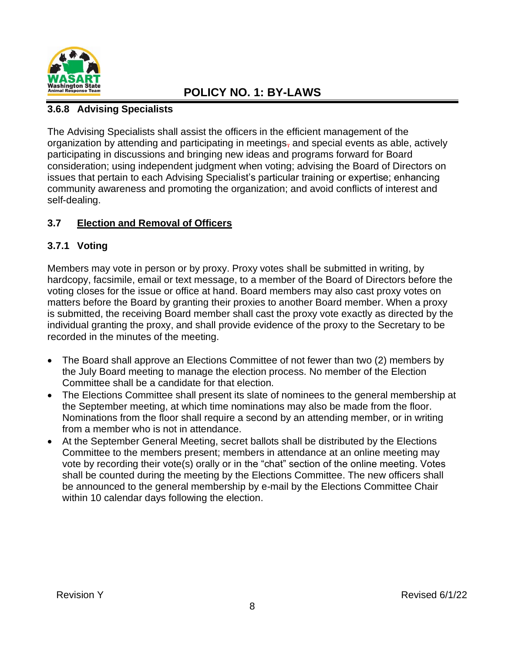

#### **3.6.8 Advising Specialists**

The Advising Specialists shall assist the officers in the efficient management of the organization by attending and participating in meetings, and special events as able, actively participating in discussions and bringing new ideas and programs forward for Board consideration; using independent judgment when voting; advising the Board of Directors on issues that pertain to each Advising Specialist's particular training or expertise; enhancing community awareness and promoting the organization; and avoid conflicts of interest and self-dealing.

#### <span id="page-16-0"></span>**3.7 Election and Removal of Officers**

#### **3.7.1 Voting**

Members may vote in person or by proxy. Proxy votes shall be submitted in writing, by hardcopy, facsimile, email or text message, to a member of the Board of Directors before the voting closes for the issue or office at hand. Board members may also cast proxy votes on matters before the Board by granting their proxies to another Board member. When a proxy is submitted, the receiving Board member shall cast the proxy vote exactly as directed by the individual granting the proxy, and shall provide evidence of the proxy to the Secretary to be recorded in the minutes of the meeting.

- The Board shall approve an Elections Committee of not fewer than two (2) members by the July Board meeting to manage the election process. No member of the Election Committee shall be a candidate for that election.
- The Elections Committee shall present its slate of nominees to the general membership at the September meeting, at which time nominations may also be made from the floor. Nominations from the floor shall require a second by an attending member, or in writing from a member who is not in attendance.
- At the September General Meeting, secret ballots shall be distributed by the Elections Committee to the members present; members in attendance at an online meeting may vote by recording their vote(s) orally or in the "chat" section of the online meeting. Votes shall be counted during the meeting by the Elections Committee. The new officers shall be announced to the general membership by e-mail by the Elections Committee Chair within 10 calendar days following the election.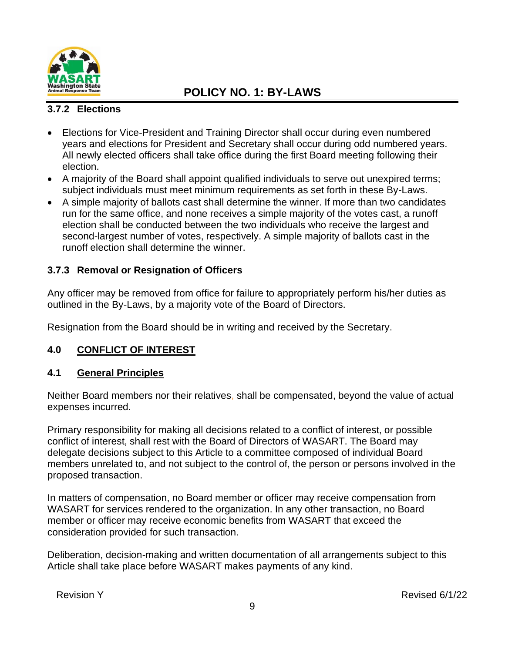

#### **3.7.2 Elections**

- Elections for Vice-President and Training Director shall occur during even numbered years and elections for President and Secretary shall occur during odd numbered years. All newly elected officers shall take office during the first Board meeting following their election.
- A majority of the Board shall appoint qualified individuals to serve out unexpired terms; subject individuals must meet minimum requirements as set forth in these By-Laws.
- A simple majority of ballots cast shall determine the winner. If more than two candidates run for the same office, and none receives a simple majority of the votes cast, a runoff election shall be conducted between the two individuals who receive the largest and second-largest number of votes, respectively. A simple majority of ballots cast in the runoff election shall determine the winner.

#### **3.7.3 Removal or Resignation of Officers**

Any officer may be removed from office for failure to appropriately perform his/her duties as outlined in the By-Laws, by a majority vote of the Board of Directors.

Resignation from the Board should be in writing and received by the Secretary.

#### **4.0 CONFLICT OF INTEREST**

#### <span id="page-17-0"></span>**4.1 General Principles**

Neither Board members nor their relatives, shall be compensated, beyond the value of actual expenses incurred.

Primary responsibility for making all decisions related to a conflict of interest, or possible conflict of interest, shall rest with the Board of Directors of WASART. The Board may delegate decisions subject to this Article to a committee composed of individual Board members unrelated to, and not subject to the control of, the person or persons involved in the proposed transaction.

In matters of compensation, no Board member or officer may receive compensation from WASART for services rendered to the organization. In any other transaction, no Board member or officer may receive economic benefits from WASART that exceed the consideration provided for such transaction.

Deliberation, decision-making and written documentation of all arrangements subject to this Article shall take place before WASART makes payments of any kind.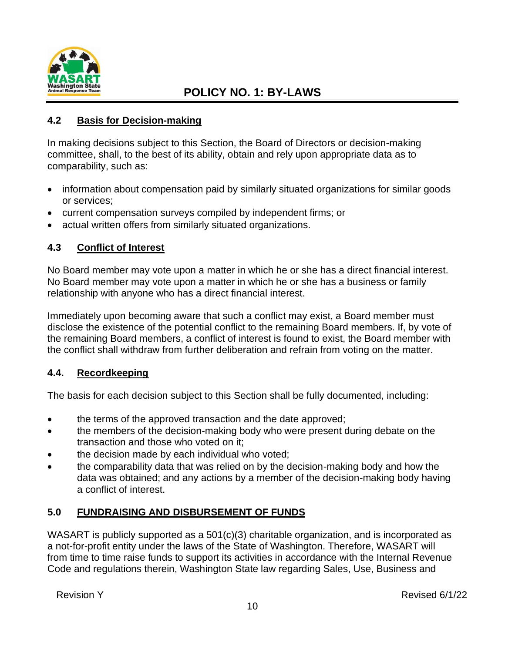

#### <span id="page-18-1"></span>**4.2 Basis for Decision-making**

In making decisions subject to this Section, the Board of Directors or decision-making committee, shall, to the best of its ability, obtain and rely upon appropriate data as to comparability, such as:

- information about compensation paid by similarly situated organizations for similar goods or services;
- current compensation surveys compiled by independent firms; or
- actual written offers from similarly situated organizations.

#### <span id="page-18-0"></span>**4.3 Conflict of Interest**

No Board member may vote upon a matter in which he or she has a direct financial interest. No Board member may vote upon a matter in which he or she has a business or family relationship with anyone who has a direct financial interest.

Immediately upon becoming aware that such a conflict may exist, a Board member must disclose the existence of the potential conflict to the remaining Board members. If, by vote of the remaining Board members, a conflict of interest is found to exist, the Board member with the conflict shall withdraw from further deliberation and refrain from voting on the matter.

#### <span id="page-18-2"></span>**4.4. Recordkeeping**

The basis for each decision subject to this Section shall be fully documented, including:

- the terms of the approved transaction and the date approved;
- the members of the decision-making body who were present during debate on the transaction and those who voted on it;
- the decision made by each individual who voted;
- the comparability data that was relied on by the decision-making body and how the data was obtained; and any actions by a member of the decision-making body having a conflict of interest.

#### <span id="page-18-3"></span>**5.0 FUNDRAISING AND DISBURSEMENT OF FUNDS**

WASART is publicly supported as a 501(c)(3) charitable organization, and is incorporated as a not-for-profit entity under the laws of the State of Washington. Therefore, WASART will from time to time raise funds to support its activities in accordance with the Internal Revenue Code and regulations therein, Washington State law regarding Sales, Use, Business and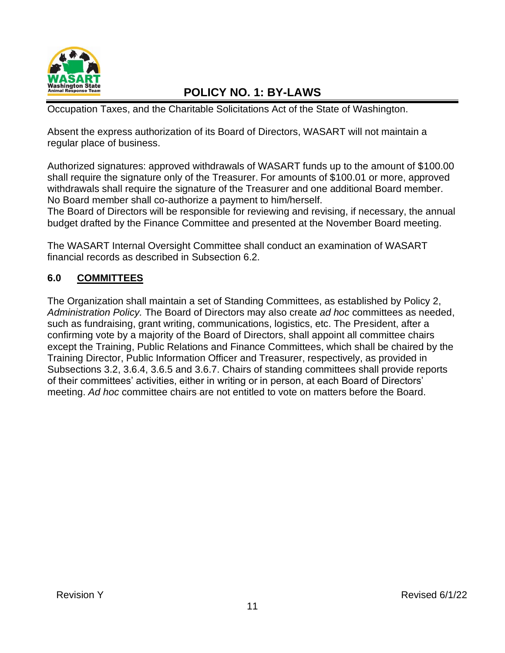

Occupation Taxes, and the Charitable Solicitations Act of the State of Washington.

Absent the express authorization of its Board of Directors, WASART will not maintain a regular place of business.

Authorized signatures: approved withdrawals of WASART funds up to the amount of \$100.00 shall require the signature only of the Treasurer. For amounts of \$100.01 or more, approved withdrawals shall require the signature of the Treasurer and one additional Board member. No Board member shall co-authorize a payment to him/herself.

The Board of Directors will be responsible for reviewing and revising, if necessary, the annual budget drafted by the Finance Committee and presented at the November Board meeting.

The WASART Internal Oversight Committee shall conduct an examination of WASART financial records as described in Subsection 6.2.

### **6.0 COMMITTEES**

The Organization shall maintain a set of Standing Committees, as established by Policy 2, *Administration Policy.* The Board of Directors may also create *ad hoc* committees as needed, such as fundraising, grant writing, communications, logistics, etc. The President, after a confirming vote by a majority of the Board of Directors, shall appoint all committee chairs except the Training, Public Relations and Finance Committees, which shall be chaired by the Training Director, Public Information Officer and Treasurer, respectively, as provided in Subsections 3.2, 3.6.4, 3.6.5 and 3.6.7. Chairs of standing committees shall provide reports of their committees' activities, either in writing or in person, at each Board of Directors' meeting. *Ad hoc* committee chairs are not entitled to vote on matters before the Board.